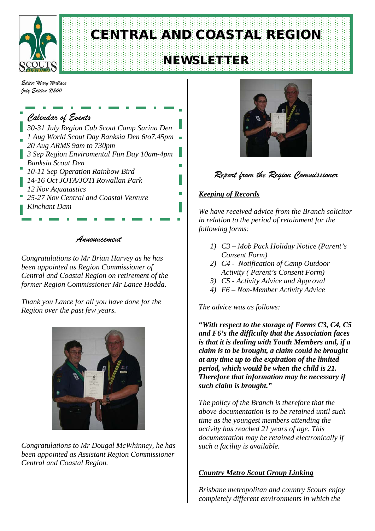

# CENTRAL AND COASTAL REGION

# NEWSLETTER

*Editor Mary Wallace July Edition 2/2011*

#### *Calendar of Events 30-31 July Region Cub Scout Camp Sarina Den 1 Aug World Scout Day Banksia Den 6to7.45pm 20 Aug ARMS 9am to 730pm 3 Sep Region Enviromental Fun Day 10am-4pm Banksia Scout Den* m. *10-11 Sep Operation Rainbow Bird 14-16 Oct JOTA/JOTI Rowallan Park 12 Nov Aquatastics 25-27 Nov Central and Coastal Venture Kinchant Dam*

#### *Announcement*

*Congratulations to Mr Brian Harvey as he has been appointed as Region Commissioner of Central and Coastal Region on retirement of the former Region Commissioner Mr Lance Hodda.*

*Thank you Lance for all you have done for the Region over the past few years.*



*Congratulations to Mr Dougal McWhinney, he has been appointed as Assistant Region Commissioner Central and Coastal Region.*



#### *Report from the Region Commissioner*

#### *Keeping of Records*

*We have received advice from the Branch solicitor in relation to the period of retainment for the following forms:*

- *1) C3 – Mob Pack Holiday Notice (Parent's Consent Form)*
- *2) C4 Notification of Camp Outdoor Activity ( Parent's Consent Form)*
- *3) C5 - Activity Advice and Approval*
- *4) F6 – Non-Member Activity Advice*

*The advice was as follows:*

**"***With respect to the storage of Forms C3, C4, C5 and F6's the difficulty that the Association faces is that it is dealing with Youth Members and, if a claim is to be brought, a claim could be brought at any time up to the expiration of the limited period, which would be when the child is 21. Therefore that information may be necessary if such claim is brought."*

*The policy of the Branch is therefore that the above documentation is to be retained until such time as the youngest members attending the activity has reached 21 years of age. This documentation may be retained electronically if such a facility is available.*

#### *Country Metro Scout Group Linking*

*Brisbane metropolitan and country Scouts enjoy completely different environments in which the*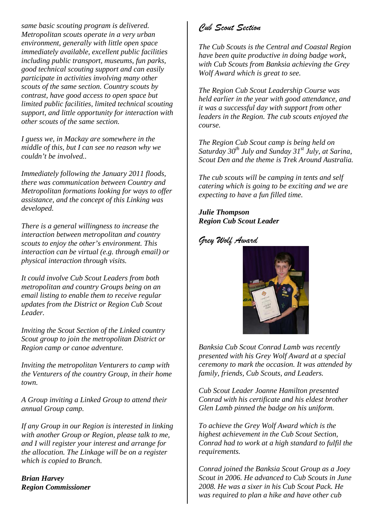*same basic scouting program is delivered. Metropolitan scouts operate in a very urban environment, generally with little open space immediately available, excellent public facilities including public transport, museums, fun parks, good technical scouting support and can easily participate in activities involving many other scouts of the same section. Country scouts by contrast, have good access to open space but limited public facilities, limited technical scouting support, and little opportunity for interaction with other scouts of the same section.* 

*I guess we, in Mackay are somewhere in the middle of this, but I can see no reason why we couldn't be involved..*

*Immediately following the January 2011 floods, there was communication between Country and Metropolitan formations looking for ways to offer assistance, and the concept of this Linking was developed.*

*There is a general willingness to increase the interaction between metropolitan and country scouts to enjoy the other's environment. This interaction can be virtual (e.g. through email) or physical interaction through visits.*

*It could involve Cub Scout Leaders from both metropolitan and country Groups being on an email listing to enable them to receive regular updates from the District or Region Cub Scout Leader.*

*Inviting the Scout Section of the Linked country Scout group to join the metropolitan District or Region camp or canoe adventure.*

*Inviting the metropolitan Venturers to camp with the Venturers of the country Group, in their home town.*

*A Group inviting a Linked Group to attend their annual Group camp.*

*If any Group in our Region is interested in linking with another Group or Region, please talk to me, and I will register your interest and arrange for the allocation. The Linkage will be on a register which is copied to Branch.*

*Brian Harvey Region Commissioner* 

### *Cub Scout Section*

*The Cub Scouts is the Central and Coastal Region have been quite productive in doing badge work, with Cub Scouts from Banksia achieving the Grey Wolf Award which is great to see.* 

*The Region Cub Scout Leadership Course was held earlier in the year with good attendance, and it was a successful day with support from other leaders in the Region. The cub scouts enjoyed the course.*

*The Region Cub Scout camp is being held on Saturday 30th July and Sunday 31st July, at Sarina, Scout Den and the theme is Trek Around Australia.*

*The cub scouts will be camping in tents and self catering which is going to be exciting and we are expecting to have a fun filled time.*

*Julie Thompson Region Cub Scout Leader*

*Grey Wolf Award*



*Banksia Cub Scout Conrad Lamb was recently presented with his Grey Wolf Award at a special ceremony to mark the occasion. It was attended by family, friends, Cub Scouts, and Leaders.*

*Cub Scout Leader Joanne Hamilton presented Conrad with his certificate and his eldest brother Glen Lamb pinned the badge on his uniform.*

*To achieve the Grey Wolf Award which is the highest achievement in the Cub Scout Section, Conrad had to work at a high standard to fulfil the requirements.*

*Conrad joined the Banksia Scout Group as a Joey Scout in 2006. He advanced to Cub Scouts in June 2008. He was a sixer in his Cub Scout Pack. He was required to plan a hike and have other cub*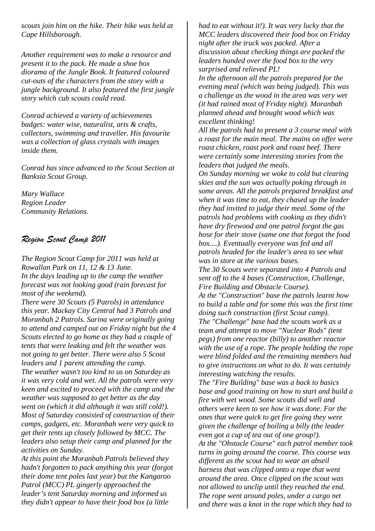*scouts join him on the hike. Their hike was held at Cape Hillsborough.* 

*Another requirement was to make a resource and present it to the pack. He made a shoe box diorama of the Jungle Book. It featured coloured cut-outs of the characters from the story with a jungle background. It also featured the first jungle story which cub scouts could read.*

*Conrad achieved a variety of achievements badges: water wise, naturalist, arts & crafts, collectors, swimming and traveller. His favourite was a collection of glass crystals with images inside them.*

*Conrad has since advanced to the Scout Section at Banksia Scout Group.*

*Mary Wallace Region Leader Community Relations.*

#### *Region Scout Camp 2011*

*The Region Scout Camp for 2011 was held at Rowallan Park on 11, 12 & 13 June. In the days leading up to the camp the weather forecast was not looking good (rain forecast for most of the weekend).*

*There were 30 Scouts (5 Patrols) in attendance this year. Mackay City Central had 3 Patrols and Moranbah 2 Patrols. Sarina were originally going to attend and camped out on Friday night but the 4 Scouts elected to go home as they had a couple of tents that were leaking and felt the weather was not going to get better. There were also 5 Scout leaders and 1 parent attending the camp. The weather wasn't too kind to us on Saturday as it was very cold and wet. All the patrols were very keen and excited to proceed with the camp and the weather was supposed to get better as the day went on (which it did although it was still cold!). Most of Saturday consisted of construction of their camps, gadgets, etc. Moranbah were very quick to get their tents up closely followed by MCC. The leaders also setup their camp and planned for the activities on Sunday.*

*At this point the Moranbah Patrols believed they hadn't forgotten to pack anything this year (forgot their dome tent poles last year) but the Kangaroo Patrol (MCC) PL gingerly approached the leader's tent Saturday morning and informed us they didn't appear to have their food box (a little* 

*had to eat without it!). It was very lucky that the MCC leaders discovered their food box on Friday night after the truck was packed. After a discussion about checking things are packed the leaders handed over the food box to the very surprised and relieved PL!*

*In the afternoon all the patrols prepared for the evening meal (which was being judged). This was a challenge as the wood in the area was very wet (it had rained most of Friday night). Moranbah planned ahead and brought wood which was excellent thinking!*

*All the patrols had to present a 3 course meal with a roast for the main meal. The mains on offer were roast chicken, roast pork and roast beef. There were certainly some interesting stories from the leaders that judged the meals.*

*On Sunday morning we woke to cold but clearing skies and the sun was actually poking through in some areas. All the patrols prepared breakfast and when it was time to eat, they chased up the leader they had invited to judge their meal. Some of the patrols had problems with cooking as they didn't have dry firewood and one patrol forgot the gas hose for their stove (same one that forgot the food box....). Eventually everyone was fed and all patrols headed for the leader's area to see what was in store at the various bases.*

*The 30 Scouts were separated into 4 Patrols and sent off to the 4 bases (Construction, Challenge, Fire Building and Obstacle Course). At the "Construction" base the patrols learnt how to build a table and for some this was the first time doing such construction (first Scout camp). The "Challenge" base had the scouts work as a team and attempt to move "Nuclear Rods" (tent pegs) from one reactor (billy) to another reactor with the use of a rope. The people holding the rope were blind folded and the remaining members had to give instructions on what to do. It was certainly interesting watching the results.*

*The "Fire Building" base was a back to basics base and good training on how to start and build a fire with wet wood. Some scouts did well and others were keen to see how it was done. For the ones that were quick to get fire going they were given the challenge of boiling a billy (the leader even got a cup of tea out of one group!). At the "Obstacle Course" each patrol member took turns in going around the course. This course was different as the scout had to wear an abseil harness that was clipped onto a rope that went around the area. Once clipped on the scout was not allowed to unclip until they reached the end. The rope went around poles, under a cargo net and there was a knot in the rope which they had to*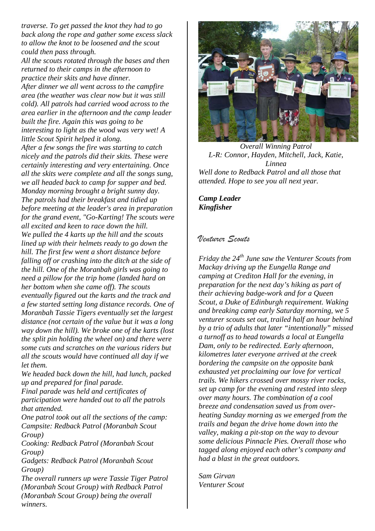*traverse. To get passed the knot they had to go back along the rope and gather some excess slack to allow the knot to be loosened and the scout could then pass through.*

*All the scouts rotated through the bases and then returned to their camps in the afternoon to practice their skits and have dinner.*

*After dinner we all went across to the campfire area (the weather was clear now but it was still cold). All patrols had carried wood across to the area earlier in the afternoon and the camp leader built the fire. Again this was going to be interesting to light as the wood was very wet! A little Scout Spirit helped it along.*

*After a few songs the fire was starting to catch nicely and the patrols did their skits. These were certainly interesting and very entertaining. Once all the skits were complete and all the songs sung, we all headed back to camp for supper and bed. Monday morning brought a bright sunny day. The patrols had their breakfast and tidied up before meeting at the leader's area in preparation for the grand event, "Go-Karting! The scouts were all excited and keen to race down the hill. We pulled the 4 karts up the hill and the scouts lined up with their helmets ready to go down the hill. The first few went a short distance before falling off or crashing into the ditch at the side of the hill. One of the Moranbah girls was going to need a pillow for the trip home (landed hard on her bottom when she came off). The scouts eventually figured out the karts and the track and a few started setting long distance records. One of Moranbah Tassie Tigers eventually set the largest distance (not certain of the value but it was a long way down the hill). We broke one of the karts (lost the split pin holding the wheel on) and there were some cuts and scratches on the various riders but all the scouts would have continued all day if we let them.*

*We headed back down the hill, had lunch, packed up and prepared for final parade.*

*Final parade was held and certificates of participation were handed out to all the patrols that attended.*

*One patrol took out all the sections of the camp: Campsite: Redback Patrol (Moranbah Scout Group)*

*Cooking: Redback Patrol (Moranbah Scout Group)*

*Gadgets: Redback Patrol (Moranbah Scout Group)*

*The overall runners up were Tassie Tiger Patrol (Moranbah Scout Group) with Redback Patrol (Moranbah Scout Group) being the overall winners.*



*Overall Winning Patrol L-R: Connor, Hayden, Mitchell, Jack, Katie, Linnea Well done to Redback Patrol and all those that attended. Hope to see you all next year.*

*Camp Leader Kingfisher*

#### *Venturer Scouts*

*Friday the 24th June saw the Venturer Scouts from Mackay driving up the Eungella Range and camping at Crediton Hall for the evening, in preparation for the next day's hiking as part of their achieving badge-work and for a Queen Scout, a Duke of Edinburgh requirement. Waking and breaking camp early Saturday morning, we 5 venturer scouts set out, trailed half an hour behind by a trio of adults that later "intentionally" missed a turnoff as to head towards a local at Eungella Dam, only to be redirected. Early afternoon, kilometres later everyone arrived at the creek bordering the campsite on the opposite bank exhausted yet proclaiming our love for vertical trails. We hikers crossed over mossy river rocks, set up camp for the evening and rested into sleep over many hours. The combination of a cool breeze and condensation saved us from overheating Sunday morning as we emerged from the trails and began the drive home down into the valley, making a pit-stop on the way to devour some delicious Pinnacle Pies. Overall those who tagged along enjoyed each other's company and had a blast in the great outdoors.*

*Sam Girvan Venturer Scout*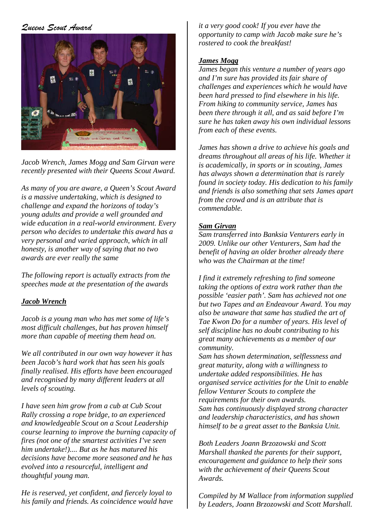#### *Queens Scout Award*



*Jacob Wrench, James Mogg and Sam Girvan were recently presented with their Queens Scout Award.*

*As many of you are aware, a Queen's Scout Award is a massive undertaking, which is designed to challenge and expand the horizons of today's young adults and provide a well grounded and wide education in a real-world environment. Every person who decides to undertake this award has a very personal and varied approach, which in all honesty, is another way of saying that no two awards are ever really the same*

*The following report is actually extracts from the speeches made at the presentation of the awards*

#### *Jacob Wrench*

*Jacob is a young man who has met some of life's most difficult challenges, but has proven himself more than capable of meeting them head on.*

*We all contributed in our own way however it has been Jacob's hard work that has seen his goals finally realised. His efforts have been encouraged and recognised by many different leaders at all levels of scouting.*

*I have seen him grow from a cub at Cub Scout Rally crossing a rope bridge, to an experienced and knowledgeable Scout on a Scout Leadership course learning to improve the burning capacity of fires (not one of the smartest activities I've seen him undertake!).... But as he has matured his decisions have become more seasoned and he has evolved into a resourceful, intelligent and thoughtful young man.* 

*He is reserved, yet confident, and fiercely loyal to his family and friends. As coincidence would have*  *it a very good cook! If you ever have the opportunity to camp with Jacob make sure he's rostered to cook the breakfast!*

#### *James Mogg*

*James began this venture a number of years ago and I'm sure has provided its fair share of challenges and experiences which he would have been hard pressed to find elsewhere in his life. From hiking to community service, James has been there through it all, and as said before I'm sure he has taken away his own individual lessons from each of these events.*

*James has shown a drive to achieve his goals and dreams throughout all areas of his life. Whether it is academically, in sports or in scouting, James has always shown a determination that is rarely found in society today. His dedication to his family and friends is also something that sets James apart from the crowd and is an attribute that is commendable.*

#### *Sam Girvan*

*Sam transferred into Banksia Venturers early in 2009. Unlike our other Venturers, Sam had the benefit of having an older brother already there who was the Chairman at the time!*

*I find it extremely refreshing to find someone taking the options of extra work rather than the possible 'easier path'. Sam has achieved not one but two Tapes and an Endeavour Award. You may also be unaware that same has studied the art of Tae Kwon Do for a number of years. His level of self discipline has no doubt contributing to his great many achievements as a member of our community.* 

*Sam has shown determination, selflessness and great maturity, along with a willingness to undertake added responsibilities. He has organised service activities for the Unit to enable fellow Venturer Scouts to complete the requirements for their own awards. Sam has continuously displayed strong character and leadership characteristics, and has shown himself to be a great asset to the Banksia Unit.*

*Both Leaders Joann Brzozowski and Scott Marshall thanked the parents for their support, encouragement and guidance to help their sons with the achievement of their Queens Scout Awards.*

*Compiled by M Wallace from information supplied by Leaders, Joann Brzozowski and Scott Marshall.*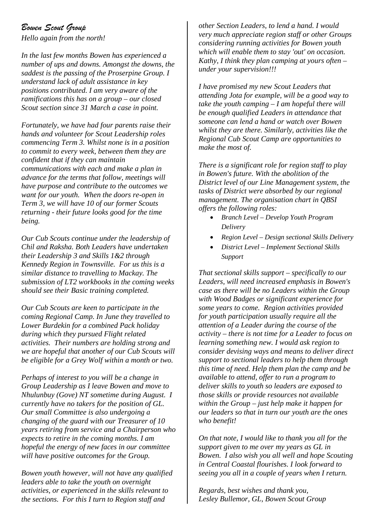#### *Bowen Scout Group*

*Hello again from the north!*

*In the last few months Bowen has experienced a number of ups and downs. Amongst the downs, the saddest is the passing of the Proserpine Group. I understand lack of adult assistance in key positions contributed. I am very aware of the ramifications this has on a group – our closed Scout section since 31 March a case in point.* 

*Fortunately, we have had four parents raise their hands and volunteer for Scout Leadership roles commencing Term 3. Whilst none is in a position to commit to every week, between them they are confident that if they can maintain communications with each and make a plan in advance for the terms that follow, meetings will have purpose and contribute to the outcomes we want for our youth. When the doors re-open in Term 3, we will have 10 of our former Scouts returning - their future looks good for the time being.*

*Our Cub Scouts continue under the leadership of Chil and Raksha. Both Leaders have undertaken their Leadership 3 and Skills 1&2 through Kennedy Region in Townsville. For us this is a similar distance to travelling to Mackay. The submission of LT2 workbooks in the coming weeks should see their Basic training completed.*

*Our Cub Scouts are keen to participate in the coming Regional Camp. In June they travelled to Lower Burdekin for a combined Pack holiday during which they pursued Flight related activities. Their numbers are holding strong and we are hopeful that another of our Cub Scouts will be eligible for a Grey Wolf within a month or two.*

*Perhaps of interest to you will be a change in Group Leadership as I leave Bowen and move to Nhulunbuy (Gove) NT sometime during August. I currently have no takers for the position of GL. Our small Committee is also undergoing a changing of the guard with our Treasurer of 10 years retiring from service and a Chairperson who expects to retire in the coming months. I am hopeful the energy of new faces in our committee will have positive outcomes for the Group.*

*Bowen youth however, will not have any qualified leaders able to take the youth on overnight activities, or experienced in the skills relevant to the sections. For this I turn to Region staff and* 

*other Section Leaders, to lend a hand. I would very much appreciate region staff or other Groups considering running activities for Bowen youth which will enable them to stay 'out' on occasion. Kathy, I think they plan camping at yours often – under your supervision!!!*

*I have promised my new Scout Leaders that attending Jota for example, will be a good way to take the youth camping – I am hopeful there will be enough qualified Leaders in attendance that someone can lend a hand or watch over Bowen whilst they are there. Similarly, activities like the Regional Cub Scout Camp are opportunities to make the most of.*

*There is a significant role for region staff to play in Bowen's future. With the abolition of the District level of our Line Management system, the tasks of District were absorbed by our regional management. The organisation chart in QBSI offers the following roles:*

- *Branch Level – Develop Youth Program Delivery*
- *Region Level – Design sectional Skills Delivery*
- *District Level – Implement Sectional Skills Support*

*That sectional skills support – specifically to our Leaders, will need increased emphasis in Bowen's case as there will be no Leaders within the Group with Wood Badges or significant experience for some years to come. Region activities provided for youth participation usually require all the attention of a Leader during the course of the activity – there is not time for a Leader to focus on learning something new. I would ask region to consider devising ways and means to deliver direct support to sectional leaders to help them through this time of need. Help them plan the camp and be available to attend, offer to run a program to deliver skills to youth so leaders are exposed to those skills or provide resources not available within the Group – just help make it happen for our leaders so that in turn our youth are the ones who benefit!*

*On that note, I would like to thank you all for the support given to me over my years as GL in Bowen. I also wish you all well and hope Scouting in Central Coastal flourishes. I look forward to seeing you all in a couple of years when I return.*

*Regards, best wishes and thank you, Lesley Bullemor, GL, Bowen Scout Group*